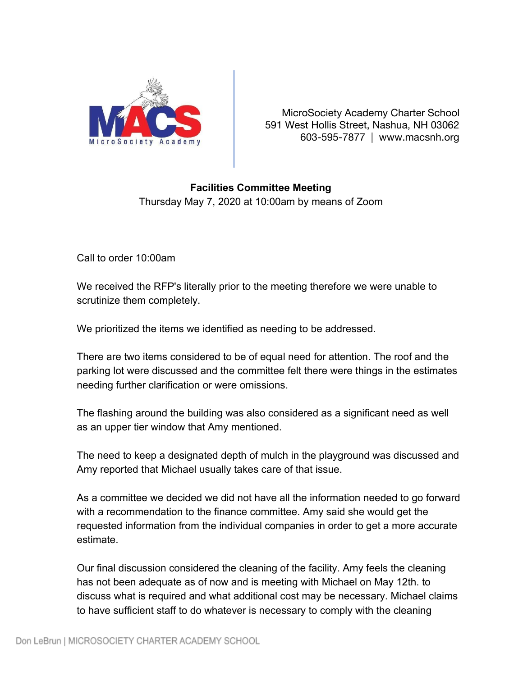

MicroSociety Academy Charter School 591 West Hollis Street, Nashua, NH 03062 603-595-7877 | www.macsnh.org

## **Facilities Committee Meeting**

Thursday May 7, 2020 at 10:00am by means of Zoom

Call to order 10:00am

We received the RFP's literally prior to the meeting therefore we were unable to scrutinize them completely.

We prioritized the items we identified as needing to be addressed.

There are two items considered to be of equal need for attention. The roof and the parking lot were discussed and the committee felt there were things in the estimates needing further clarification or were omissions.

The flashing around the building was also considered as a significant need as well as an upper tier window that Amy mentioned.

The need to keep a designated depth of mulch in the playground was discussed and Amy reported that Michael usually takes care of that issue.

As a committee we decided we did not have all the information needed to go forward with a recommendation to the finance committee. Amy said she would get the requested information from the individual companies in order to get a more accurate estimate.

Our final discussion considered the cleaning of the facility. Amy feels the cleaning has not been adequate as of now and is meeting with Michael on May 12th. to discuss what is required and what additional cost may be necessary. Michael claims to have sufficient staff to do whatever is necessary to comply with the cleaning